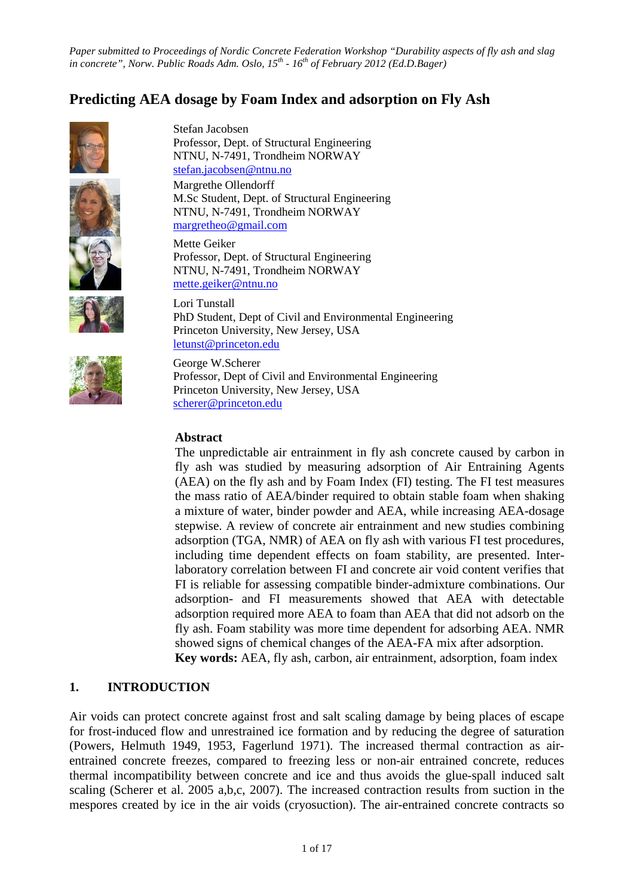# **Predicting AEA dosage by Foam Index and adsorption on Fly Ash**









Stefan Jacobsen Professor, Dept. of Structural Engineering NTNU, N-7491, Trondheim NORWAY [stefan.jacobsen@ntnu.no](mailto:stefan.jacobsen@ntnu.no) Margrethe Ollendorff M.Sc Student, Dept. of Structural Engineering NTNU, N-7491, Trondheim NORWAY [margretheo@gmail.com](mailto:margretheo@gmail.com)

Mette Geiker Professor, Dept. of Structural Engineering NTNU, N-7491, Trondheim NORWAY [mette.geiker@ntnu.no](mailto:mette.geiker@ntnu.no)

Lori Tunstall PhD Student, Dept of Civil and Environmental Engineering Princeton University, New Jersey, USA [letunst@princeton.edu](mailto:letunst@princeton.edu)

George W.Scherer Professor, Dept of Civil and Environmental Engineering Princeton University, New Jersey, USA [scherer@princeton.edu](mailto:scherer@princeton.edu)

# **Abstract**

The unpredictable air entrainment in fly ash concrete caused by carbon in fly ash was studied by measuring adsorption of Air Entraining Agents (AEA) on the fly ash and by Foam Index (FI) testing. The FI test measures the mass ratio of AEA/binder required to obtain stable foam when shaking a mixture of water, binder powder and AEA, while increasing AEA-dosage stepwise. A review of concrete air entrainment and new studies combining adsorption (TGA, NMR) of AEA on fly ash with various FI test procedures, including time dependent effects on foam stability, are presented. Interlaboratory correlation between FI and concrete air void content verifies that FI is reliable for assessing compatible binder-admixture combinations. Our adsorption- and FI measurements showed that AEA with detectable adsorption required more AEA to foam than AEA that did not adsorb on the fly ash. Foam stability was more time dependent for adsorbing AEA. NMR showed signs of chemical changes of the AEA-FA mix after adsorption. **Key words:** AEA, fly ash, carbon, air entrainment, adsorption, foam index

# **1. INTRODUCTION**

Air voids can protect concrete against frost and salt scaling damage by being places of escape for frost-induced flow and unrestrained ice formation and by reducing the degree of saturation (Powers, Helmuth 1949, 1953, Fagerlund 1971). The increased thermal contraction as airentrained concrete freezes, compared to freezing less or non-air entrained concrete, reduces thermal incompatibility between concrete and ice and thus avoids the glue-spall induced salt scaling (Scherer et al. 2005 a,b,c, 2007). The increased contraction results from suction in the mespores created by ice in the air voids (cryosuction). The air-entrained concrete contracts so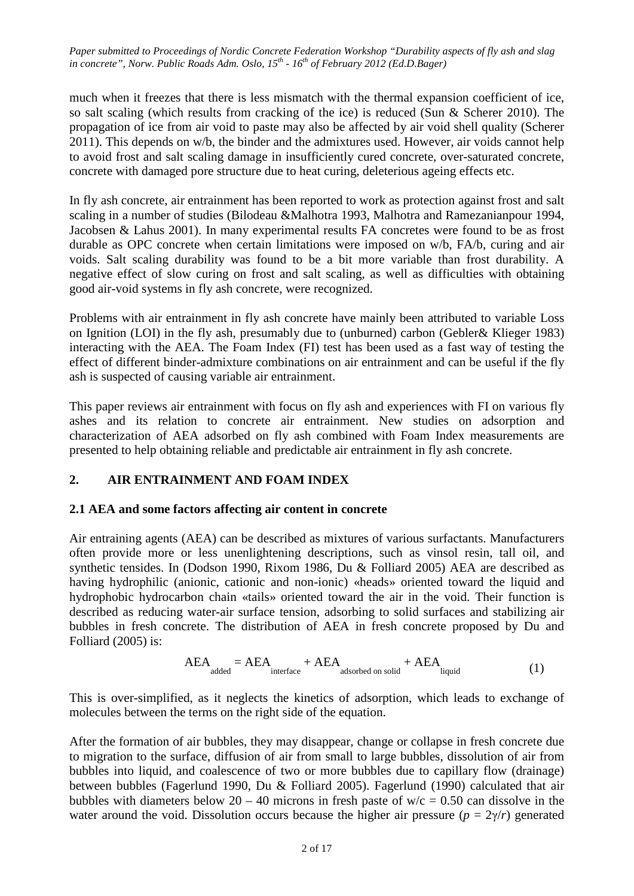much when it freezes that there is less mismatch with the thermal expansion coefficient of ice, so salt scaling (which results from cracking of the ice) is reduced (Sun & Scherer 2010). The propagation of ice from air void to paste may also be affected by air void shell quality (Scherer 2011). This depends on w/b, the binder and the admixtures used. However, air voids cannot help to avoid frost and salt scaling damage in insufficiently cured concrete, over-saturated concrete, concrete with damaged pore structure due to heat curing, deleterious ageing effects etc.

In fly ash concrete, air entrainment has been reported to work as protection against frost and salt scaling in a number of studies (Bilodeau &Malhotra 1993, Malhotra and Ramezanianpour 1994, Jacobsen & Lahus 2001). In many experimental results FA concretes were found to be as frost durable as OPC concrete when certain limitations were imposed on w/b, FA/b, curing and air voids. Salt scaling durability was found to be a bit more variable than frost durability. A negative effect of slow curing on frost and salt scaling, as well as difficulties with obtaining good air-void systems in fly ash concrete, were recognized.

Problems with air entrainment in fly ash concrete have mainly been attributed to variable Loss on Ignition (LOI) in the fly ash, presumably due to (unburned) carbon (Gebler& Klieger 1983) interacting with the AEA. The Foam Index (FI) test has been used as a fast way of testing the effect of different binder-admixture combinations on air entrainment and can be useful if the fly ash is suspected of causing variable air entrainment.

This paper reviews air entrainment with focus on fly ash and experiences with FI on various fly ashes and its relation to concrete air entrainment. New studies on adsorption and characterization of AEA adsorbed on fly ash combined with Foam Index measurements are presented to help obtaining reliable and predictable air entrainment in fly ash concrete.

# **2. AIR ENTRAINMENT AND FOAM INDEX**

# **2.1 AEA and some factors affecting air content in concrete**

Air entraining agents (AEA) can be described as mixtures of various surfactants. Manufacturers often provide more or less unenlightening descriptions, such as vinsol resin, tall oil, and synthetic tensides. In (Dodson 1990, Rixom 1986, Du & Folliard 2005) AEA are described as having hydrophilic (anionic, cationic and non-ionic) «heads» oriented toward the liquid and hydrophobic hydrocarbon chain «tails» oriented toward the air in the void. Their function is described as reducing water-air surface tension, adsorbing to solid surfaces and stabilizing air bubbles in fresh concrete. The distribution of AEA in fresh concrete proposed by Du and Folliard (2005) is:

$$
AEA_{added} = AEA_{interface} + AEA_{adsorbed on solid} + AEA_{liquid}
$$
 (1)

This is over-simplified, as it neglects the kinetics of adsorption, which leads to exchange of molecules between the terms on the right side of the equation.

After the formation of air bubbles, they may disappear, change or collapse in fresh concrete due to migration to the surface, diffusion of air from small to large bubbles, dissolution of air from bubbles into liquid, and coalescence of two or more bubbles due to capillary flow (drainage) between bubbles (Fagerlund 1990, Du & Folliard 2005). Fagerlund (1990) calculated that air bubbles with diameters below 20 – 40 microns in fresh paste of  $w/c = 0.50$  can dissolve in the water around the void. Dissolution occurs because the higher air pressure  $(p = 2\gamma/r)$  generated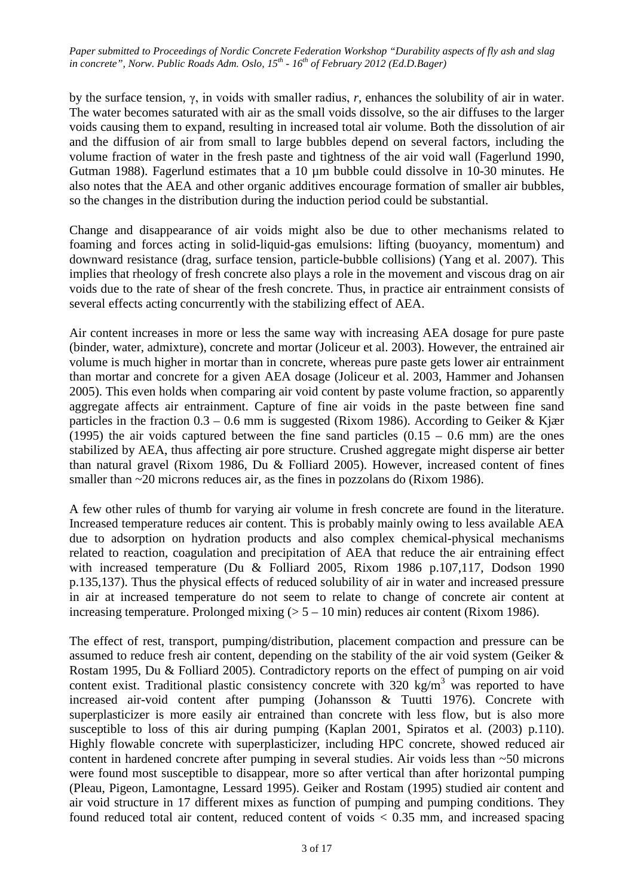by the surface tension, γ, in voids with smaller radius, *r*, enhances the solubility of air in water. The water becomes saturated with air as the small voids dissolve, so the air diffuses to the larger voids causing them to expand, resulting in increased total air volume. Both the dissolution of air and the diffusion of air from small to large bubbles depend on several factors, including the volume fraction of water in the fresh paste and tightness of the air void wall (Fagerlund 1990, Gutman 1988). Fagerlund estimates that a 10 µm bubble could dissolve in 10-30 minutes. He also notes that the AEA and other organic additives encourage formation of smaller air bubbles, so the changes in the distribution during the induction period could be substantial.

Change and disappearance of air voids might also be due to other mechanisms related to foaming and forces acting in solid-liquid-gas emulsions: lifting (buoyancy, momentum) and downward resistance (drag, surface tension, particle-bubble collisions) (Yang et al. 2007). This implies that rheology of fresh concrete also plays a role in the movement and viscous drag on air voids due to the rate of shear of the fresh concrete. Thus, in practice air entrainment consists of several effects acting concurrently with the stabilizing effect of AEA.

Air content increases in more or less the same way with increasing AEA dosage for pure paste (binder, water, admixture), concrete and mortar (Joliceur et al. 2003). However, the entrained air volume is much higher in mortar than in concrete, whereas pure paste gets lower air entrainment than mortar and concrete for a given AEA dosage (Joliceur et al. 2003, Hammer and Johansen 2005). This even holds when comparing air void content by paste volume fraction, so apparently aggregate affects air entrainment. Capture of fine air voids in the paste between fine sand particles in the fraction  $0.3 - 0.6$  mm is suggested (Rixom 1986). According to Geiker & Kjær (1995) the air voids captured between the fine sand particles  $(0.15 - 0.6 \text{ mm})$  are the ones stabilized by AEA, thus affecting air pore structure. Crushed aggregate might disperse air better than natural gravel (Rixom 1986, Du & Folliard 2005). However, increased content of fines smaller than ~20 microns reduces air, as the fines in pozzolans do (Rixom 1986).

A few other rules of thumb for varying air volume in fresh concrete are found in the literature. Increased temperature reduces air content. This is probably mainly owing to less available AEA due to adsorption on hydration products and also complex chemical-physical mechanisms related to reaction, coagulation and precipitation of AEA that reduce the air entraining effect with increased temperature (Du & Folliard 2005, Rixom 1986 p.107,117, Dodson 1990 p.135,137). Thus the physical effects of reduced solubility of air in water and increased pressure in air at increased temperature do not seem to relate to change of concrete air content at increasing temperature. Prolonged mixing  $(5 - 10 \text{ min})$  reduces air content (Rixom 1986).

The effect of rest, transport, pumping/distribution, placement compaction and pressure can be assumed to reduce fresh air content, depending on the stability of the air void system (Geiker & Rostam 1995, Du & Folliard 2005). Contradictory reports on the effect of pumping on air void content exist. Traditional plastic consistency concrete with 320 kg/m<sup>3</sup> was reported to have increased air-void content after pumping (Johansson & Tuutti 1976). Concrete with superplasticizer is more easily air entrained than concrete with less flow, but is also more susceptible to loss of this air during pumping (Kaplan 2001, Spiratos et al. (2003) p.110). Highly flowable concrete with superplasticizer, including HPC concrete, showed reduced air content in hardened concrete after pumping in several studies. Air voids less than ~50 microns were found most susceptible to disappear, more so after vertical than after horizontal pumping (Pleau, Pigeon, Lamontagne, Lessard 1995). Geiker and Rostam (1995) studied air content and air void structure in 17 different mixes as function of pumping and pumping conditions. They found reduced total air content, reduced content of voids < 0.35 mm, and increased spacing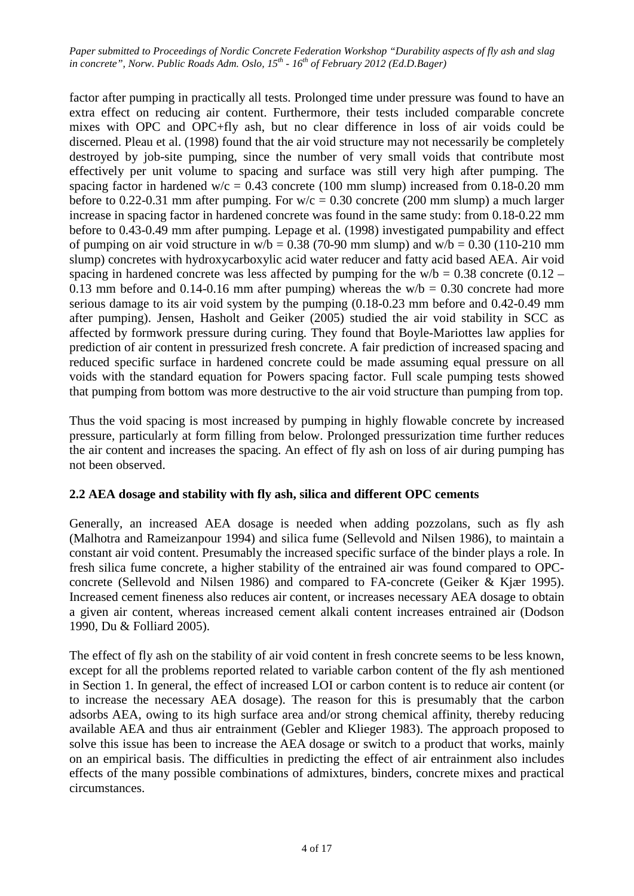factor after pumping in practically all tests. Prolonged time under pressure was found to have an extra effect on reducing air content. Furthermore, their tests included comparable concrete mixes with OPC and OPC+fly ash, but no clear difference in loss of air voids could be discerned. Pleau et al. (1998) found that the air void structure may not necessarily be completely destroyed by job-site pumping, since the number of very small voids that contribute most effectively per unit volume to spacing and surface was still very high after pumping. The spacing factor in hardened w/c = 0.43 concrete (100 mm slump) increased from 0.18-0.20 mm before to 0.22-0.31 mm after pumping. For  $w/c = 0.30$  concrete (200 mm slump) a much larger increase in spacing factor in hardened concrete was found in the same study: from 0.18-0.22 mm before to 0.43-0.49 mm after pumping. Lepage et al. (1998) investigated pumpability and effect of pumping on air void structure in  $w/b = 0.38$  (70-90 mm slump) and  $w/b = 0.30$  (110-210 mm slump) concretes with hydroxycarboxylic acid water reducer and fatty acid based AEA. Air void spacing in hardened concrete was less affected by pumping for the  $w/b = 0.38$  concrete (0.12 – 0.13 mm before and 0.14-0.16 mm after pumping) whereas the  $w/b = 0.30$  concrete had more serious damage to its air void system by the pumping (0.18-0.23 mm before and 0.42-0.49 mm after pumping). Jensen, Hasholt and Geiker (2005) studied the air void stability in SCC as affected by formwork pressure during curing. They found that Boyle-Mariottes law applies for prediction of air content in pressurized fresh concrete. A fair prediction of increased spacing and reduced specific surface in hardened concrete could be made assuming equal pressure on all voids with the standard equation for Powers spacing factor. Full scale pumping tests showed that pumping from bottom was more destructive to the air void structure than pumping from top.

Thus the void spacing is most increased by pumping in highly flowable concrete by increased pressure, particularly at form filling from below. Prolonged pressurization time further reduces the air content and increases the spacing. An effect of fly ash on loss of air during pumping has not been observed.

# **2.2 AEA dosage and stability with fly ash, silica and different OPC cements**

Generally, an increased AEA dosage is needed when adding pozzolans, such as fly ash (Malhotra and Rameizanpour 1994) and silica fume (Sellevold and Nilsen 1986), to maintain a constant air void content. Presumably the increased specific surface of the binder plays a role. In fresh silica fume concrete, a higher stability of the entrained air was found compared to OPCconcrete (Sellevold and Nilsen 1986) and compared to FA-concrete (Geiker & Kjær 1995). Increased cement fineness also reduces air content, or increases necessary AEA dosage to obtain a given air content, whereas increased cement alkali content increases entrained air (Dodson 1990, Du & Folliard 2005).

The effect of fly ash on the stability of air void content in fresh concrete seems to be less known, except for all the problems reported related to variable carbon content of the fly ash mentioned in Section 1. In general, the effect of increased LOI or carbon content is to reduce air content (or to increase the necessary AEA dosage). The reason for this is presumably that the carbon adsorbs AEA, owing to its high surface area and/or strong chemical affinity, thereby reducing available AEA and thus air entrainment (Gebler and Klieger 1983). The approach proposed to solve this issue has been to increase the AEA dosage or switch to a product that works, mainly on an empirical basis. The difficulties in predicting the effect of air entrainment also includes effects of the many possible combinations of admixtures, binders, concrete mixes and practical circumstances.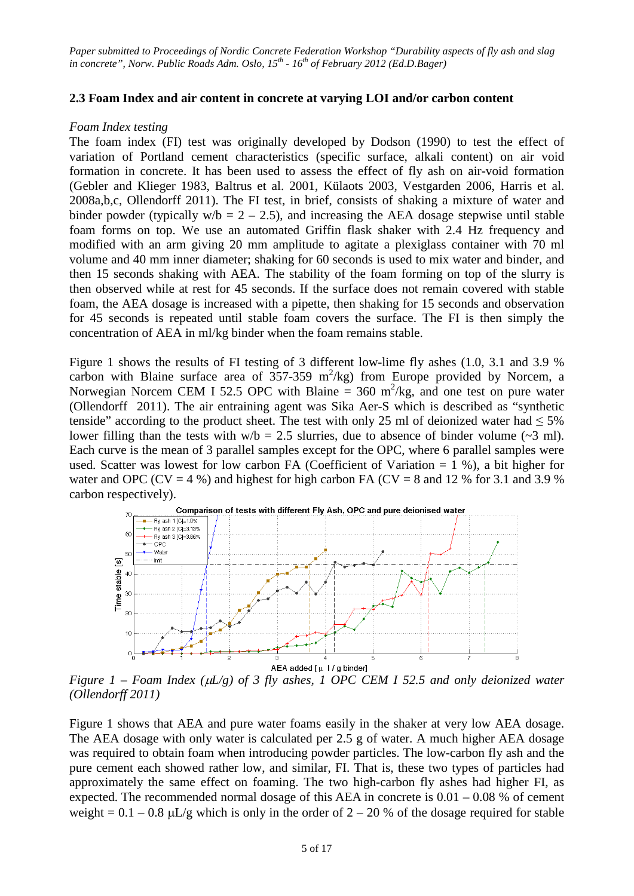#### **2.3 Foam Index and air content in concrete at varying LOI and/or carbon content**

#### *Foam Index testing*

The foam index (FI) test was originally developed by Dodson (1990) to test the effect of variation of Portland cement characteristics (specific surface, alkali content) on air void formation in concrete. It has been used to assess the effect of fly ash on air-void formation (Gebler and Klieger 1983, Baltrus et al. 2001, Külaots 2003, Vestgarden 2006, Harris et al. 2008a,b,c, Ollendorff 2011). The FI test, in brief, consists of shaking a mixture of water and binder powder (typically  $w/b = 2 - 2.5$ ), and increasing the AEA dosage stepwise until stable foam forms on top. We use an automated Griffin flask shaker with 2.4 Hz frequency and modified with an arm giving 20 mm amplitude to agitate a plexiglass container with 70 ml volume and 40 mm inner diameter; shaking for 60 seconds is used to mix water and binder, and then 15 seconds shaking with AEA. The stability of the foam forming on top of the slurry is then observed while at rest for 45 seconds. If the surface does not remain covered with stable foam, the AEA dosage is increased with a pipette, then shaking for 15 seconds and observation for 45 seconds is repeated until stable foam covers the surface. The FI is then simply the concentration of AEA in ml/kg binder when the foam remains stable.

Figure 1 shows the results of FI testing of 3 different low-lime fly ashes (1.0, 3.1 and 3.9 % carbon with Blaine surface area of  $357-359$  m<sup>2</sup>/kg) from Europe provided by Norcem, a Norwegian Norcem CEM I 52.5 OPC with Blaine = 360 m<sup>2</sup>/kg, and one test on pure water (Ollendorff 2011). The air entraining agent was Sika Aer-S which is described as "synthetic tenside" according to the product sheet. The test with only 25 ml of deionized water had  $\leq 5\%$ lower filling than the tests with  $w/b = 2.5$  slurries, due to absence of binder volume (~3 ml). Each curve is the mean of 3 parallel samples except for the OPC, where 6 parallel samples were used. Scatter was lowest for low carbon FA (Coefficient of Variation  $= 1, 2)$ ), a bit higher for water and OPC (CV = 4 %) and highest for high carbon FA (CV = 8 and 12 % for 3.1 and 3.9 % carbon respectively).



*Figure 1 – Foam Index (*µ*L/g) of 3 fly ashes, 1 OPC CEM I 52.5 and only deionized water (Ollendorff 2011)*

Figure 1 shows that AEA and pure water foams easily in the shaker at very low AEA dosage. The AEA dosage with only water is calculated per 2.5 g of water. A much higher AEA dosage was required to obtain foam when introducing powder particles. The low-carbon fly ash and the pure cement each showed rather low, and similar, FI. That is, these two types of particles had approximately the same effect on foaming. The two high-carbon fly ashes had higher FI, as expected. The recommended normal dosage of this AEA in concrete is 0.01 – 0.08 % of cement weight =  $0.1 - 0.8$   $\mu$ L/g which is only in the order of 2 – 20 % of the dosage required for stable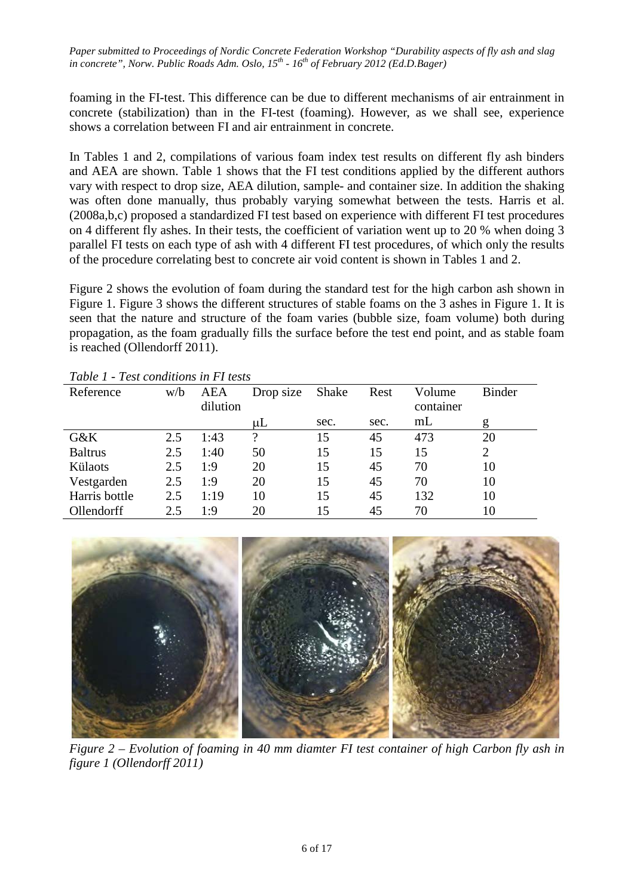foaming in the FI-test. This difference can be due to different mechanisms of air entrainment in concrete (stabilization) than in the FI-test (foaming). However, as we shall see, experience shows a correlation between FI and air entrainment in concrete.

In Tables 1 and 2, compilations of various foam index test results on different fly ash binders and AEA are shown. Table 1 shows that the FI test conditions applied by the different authors vary with respect to drop size, AEA dilution, sample- and container size. In addition the shaking was often done manually, thus probably varying somewhat between the tests. Harris et al. (2008a,b,c) proposed a standardized FI test based on experience with different FI test procedures on 4 different fly ashes. In their tests, the coefficient of variation went up to 20 % when doing 3 parallel FI tests on each type of ash with 4 different FI test procedures, of which only the results of the procedure correlating best to concrete air void content is shown in Tables 1 and 2.

Figure 2 shows the evolution of foam during the standard test for the high carbon ash shown in Figure 1. Figure 3 shows the different structures of stable foams on the 3 ashes in Figure 1. It is seen that the nature and structure of the foam varies (bubble size, foam volume) both during propagation, as the foam gradually fills the surface before the test end point, and as stable foam is reached (Ollendorff 2011).

| 1 UU VU 1<br>Test conditions in Theory |     |          |           |       |      |           |                |
|----------------------------------------|-----|----------|-----------|-------|------|-----------|----------------|
| Reference                              | w/b | AEA      | Drop size | Shake | Rest | Volume    | Binder         |
|                                        |     | dilution |           |       |      | container |                |
|                                        |     |          | uL        | sec.  | sec. | mL        | g              |
| $G\&K$                                 | 2.5 | 1:43     | ?         | 15    | 45   | 473       | 20             |
| <b>Baltrus</b>                         | 2.5 | 1:40     | 50        | 15    | 15   | 15        | $\overline{2}$ |
| Külaots                                | 2.5 | 1:9      | 20        | 15    | 45   | 70        | 10             |
| Vestgarden                             | 2.5 | 1:9      | 20        | 15    | 45   | 70        | 10             |
| Harris bottle                          | 2.5 | 1:19     | 10        | 15    | 45   | 132       | 10             |
| Ollendorff                             | 2.5 | 1:9      | 20        | 15    | 45   | 70        | 10             |

*Table 1 - Test conditions in FI tests*



*Figure 2 – Evolution of foaming in 40 mm diamter FI test container of high Carbon fly ash in figure 1 (Ollendorff 2011)*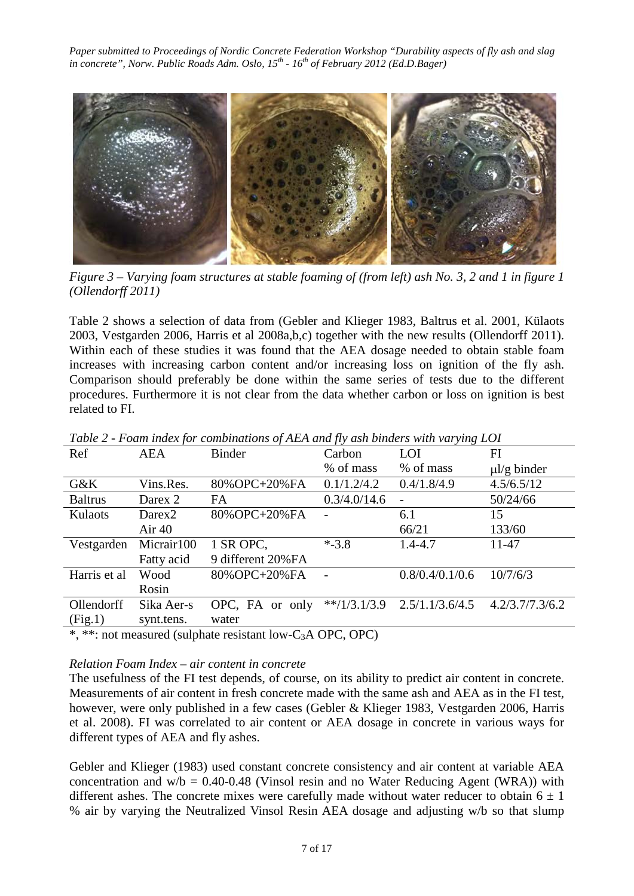

*Figure 3 – Varying foam structures at stable foaming of (from left) ash No. 3, 2 and 1 in figure 1 (Ollendorff 2011)*

Table 2 shows a selection of data from (Gebler and Klieger 1983, Baltrus et al. 2001, Külaots 2003, Vestgarden 2006, Harris et al 2008a,b,c) together with the new results (Ollendorff 2011). Within each of these studies it was found that the AEA dosage needed to obtain stable foam increases with increasing carbon content and/or increasing loss on ignition of the fly ash. Comparison should preferably be done within the same series of tests due to the different procedures. Furthermore it is not clear from the data whether carbon or loss on ignition is best related to FI.

| Ref            | <b>AEA</b>         | <b>Binder</b>                           | Carbon         | LOI                            | FI               |
|----------------|--------------------|-----------------------------------------|----------------|--------------------------------|------------------|
|                |                    |                                         | % of mass      | % of mass                      | $\mu$ l/g binder |
| $G\&K$         | Vins.Res.          | 80% OPC+20% FA                          | 0.1/1.2/4.2    | 0.4/1.8/4.9                    | 4.5/6.5/12       |
| <b>Baltrus</b> | Darex 2            | FA                                      | 0.3/4.0/14.6   |                                | 50/24/66         |
| Kulaots        | Darex <sub>2</sub> | 80% OPC+20% FA                          |                | 6.1                            | 15               |
|                | Air $40$           |                                         |                | 66/21                          | 133/60           |
| Vestgarden     | Micrair100         | 1 SR OPC,                               | $* - 3.8$      | $1.4 - 4.7$                    | 11-47            |
|                | Fatty acid         | 9 different 20%FA                       |                |                                |                  |
| Harris et al   | Wood               | 80% OPC+20% FA                          | $\overline{a}$ | 0.8/0.4/0.1/0.6                | 10/7/6/3         |
|                | Rosin              |                                         |                |                                |                  |
| Ollendorff     | Sika Aer-s         | OPC, FA or only                         |                | $**/1/3.1/3.9$ 2.5/1.1/3.6/4.5 | 4.2/3.7/7.3/6.2  |
| (Fig.1)        | synt.tens.         | water                                   |                |                                |                  |
| ملحات ملح      |                    | $1/11$ , $1/11$ , $1/2$ , $1/2$ , $1/2$ |                |                                |                  |

*Table 2 - Foam index for combinations of AEA and fly ash binders with varying LOI*

\*, \*\*: not measured (sulphate resistant low-C3A OPC, OPC)

# *Relation Foam Index – air content in concrete*

The usefulness of the FI test depends, of course, on its ability to predict air content in concrete. Measurements of air content in fresh concrete made with the same ash and AEA as in the FI test, however, were only published in a few cases (Gebler & Klieger 1983, Vestgarden 2006, Harris et al. 2008). FI was correlated to air content or AEA dosage in concrete in various ways for different types of AEA and fly ashes.

Gebler and Klieger (1983) used constant concrete consistency and air content at variable AEA concentration and  $w/b = 0.40 - 0.48$  (Vinsol resin and no Water Reducing Agent (WRA)) with different ashes. The concrete mixes were carefully made without water reducer to obtain  $6 \pm 1$ % air by varying the Neutralized Vinsol Resin AEA dosage and adjusting w/b so that slump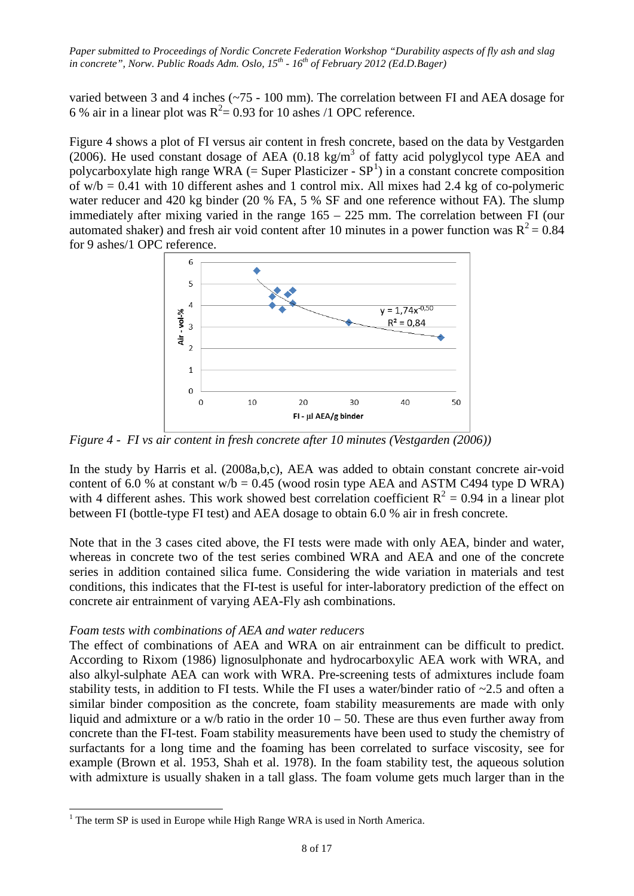varied between 3 and 4 inches (~75 - 100 mm). The correlation between FI and AEA dosage for 6 % air in a linear plot was  $R^2 = 0.93$  for 10 ashes /1 OPC reference.

Figure 4 shows a plot of FI versus air content in fresh concrete, based on the data by Vestgarden (2006). He used constant dosage of AEA (0.18 kg/m<sup>3</sup> of fatty acid polyglycol type AEA and polycarboxylate high range WRA  $(=$  Super Plasticizer - SP<sup>[1](#page-7-0)</sup>) in a constant concrete composition of  $w/b = 0.41$  with 10 different ashes and 1 control mix. All mixes had 2.4 kg of co-polymeric water reducer and 420 kg binder (20 % FA, 5 % SF and one reference without FA). The slump immediately after mixing varied in the range 165 – 225 mm. The correlation between FI (our automated shaker) and fresh air void content after 10 minutes in a power function was  $R^2 = 0.84$ for 9 ashes/1 OPC reference.



*Figure 4 - FI vs air content in fresh concrete after 10 minutes (Vestgarden (2006))*

In the study by Harris et al. (2008a,b,c), AEA was added to obtain constant concrete air-void content of 6.0 % at constant  $w/b = 0.45$  (wood rosin type AEA and ASTM C494 type D WRA) with 4 different ashes. This work showed best correlation coefficient  $R^2 = 0.94$  in a linear plot between FI (bottle-type FI test) and AEA dosage to obtain 6.0 % air in fresh concrete.

Note that in the 3 cases cited above, the FI tests were made with only AEA, binder and water, whereas in concrete two of the test series combined WRA and AEA and one of the concrete series in addition contained silica fume. Considering the wide variation in materials and test conditions, this indicates that the FI-test is useful for inter-laboratory prediction of the effect on concrete air entrainment of varying AEA-Fly ash combinations.

# *Foam tests with combinations of AEA and water reducers*

The effect of combinations of AEA and WRA on air entrainment can be difficult to predict. According to Rixom (1986) lignosulphonate and hydrocarboxylic AEA work with WRA, and also alkyl-sulphate AEA can work with WRA. Pre-screening tests of admixtures include foam stability tests, in addition to FI tests. While the FI uses a water/binder ratio of ~2.5 and often a similar binder composition as the concrete, foam stability measurements are made with only liquid and admixture or a w/b ratio in the order  $10 - 50$ . These are thus even further away from concrete than the FI-test. Foam stability measurements have been used to study the chemistry of surfactants for a long time and the foaming has been correlated to surface viscosity, see for example (Brown et al. 1953, Shah et al. 1978). In the foam stability test, the aqueous solution with admixture is usually shaken in a tall glass. The foam volume gets much larger than in the

<span id="page-7-0"></span> $1$  The term SP is used in Europe while High Range WRA is used in North America.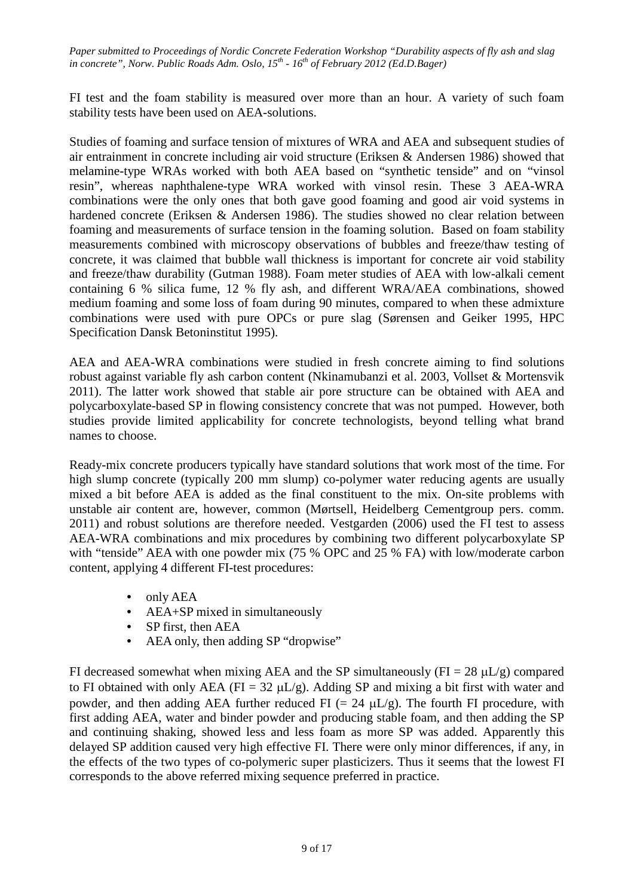FI test and the foam stability is measured over more than an hour. A variety of such foam stability tests have been used on AEA-solutions.

Studies of foaming and surface tension of mixtures of WRA and AEA and subsequent studies of air entrainment in concrete including air void structure (Eriksen & Andersen 1986) showed that melamine-type WRAs worked with both AEA based on "synthetic tenside" and on "vinsol resin", whereas naphthalene-type WRA worked with vinsol resin. These 3 AEA-WRA combinations were the only ones that both gave good foaming and good air void systems in hardened concrete (Eriksen & Andersen 1986). The studies showed no clear relation between foaming and measurements of surface tension in the foaming solution. Based on foam stability measurements combined with microscopy observations of bubbles and freeze/thaw testing of concrete, it was claimed that bubble wall thickness is important for concrete air void stability and freeze/thaw durability (Gutman 1988). Foam meter studies of AEA with low-alkali cement containing 6 % silica fume, 12 % fly ash, and different WRA/AEA combinations, showed medium foaming and some loss of foam during 90 minutes, compared to when these admixture combinations were used with pure OPCs or pure slag (Sørensen and Geiker 1995, HPC Specification Dansk Betoninstitut 1995).

AEA and AEA-WRA combinations were studied in fresh concrete aiming to find solutions robust against variable fly ash carbon content (Nkinamubanzi et al. 2003, Vollset & Mortensvik 2011). The latter work showed that stable air pore structure can be obtained with AEA and polycarboxylate-based SP in flowing consistency concrete that was not pumped. However, both studies provide limited applicability for concrete technologists, beyond telling what brand names to choose.

Ready-mix concrete producers typically have standard solutions that work most of the time. For high slump concrete (typically 200 mm slump) co-polymer water reducing agents are usually mixed a bit before AEA is added as the final constituent to the mix. On-site problems with unstable air content are, however, common (Mørtsell, Heidelberg Cementgroup pers. comm. 2011) and robust solutions are therefore needed. Vestgarden (2006) used the FI test to assess AEA-WRA combinations and mix procedures by combining two different polycarboxylate SP with "tenside" AEA with one powder mix (75 % OPC and 25 % FA) with low/moderate carbon content, applying 4 different FI-test procedures:

- only AEA
- AEA+SP mixed in simultaneously
- SP first, then AEA
- AEA only, then adding SP "dropwise"

FI decreased somewhat when mixing AEA and the SP simultaneously ( $FI = 28 \mu L/g$ ) compared to FI obtained with only AEA (FI =  $32 \mu L/g$ ). Adding SP and mixing a bit first with water and powder, and then adding AEA further reduced FI  $(= 24 \mu L/g)$ . The fourth FI procedure, with first adding AEA, water and binder powder and producing stable foam, and then adding the SP and continuing shaking, showed less and less foam as more SP was added. Apparently this delayed SP addition caused very high effective FI. There were only minor differences, if any, in the effects of the two types of co-polymeric super plasticizers. Thus it seems that the lowest FI corresponds to the above referred mixing sequence preferred in practice.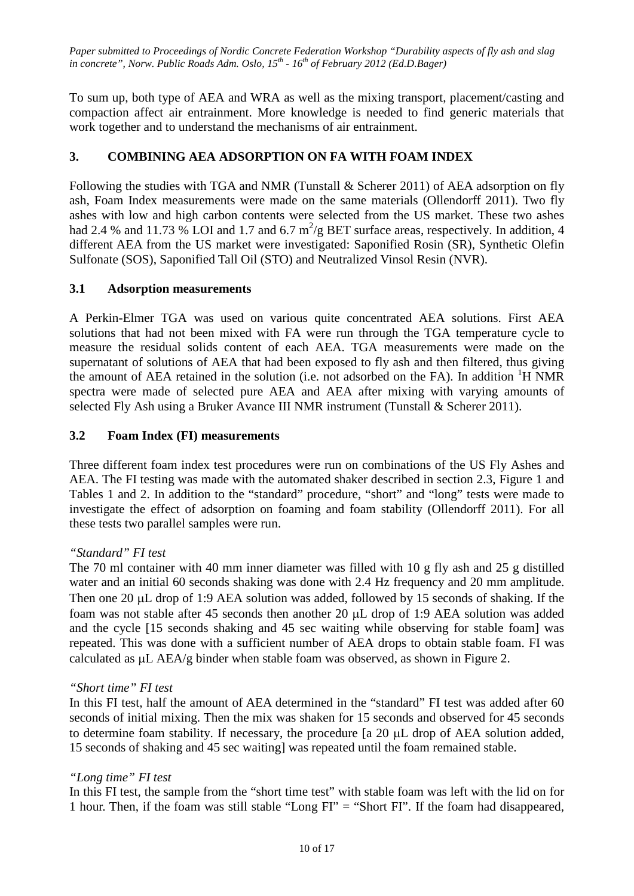To sum up, both type of AEA and WRA as well as the mixing transport, placement/casting and compaction affect air entrainment. More knowledge is needed to find generic materials that work together and to understand the mechanisms of air entrainment.

# **3. COMBINING AEA ADSORPTION ON FA WITH FOAM INDEX**

Following the studies with TGA and NMR (Tunstall & Scherer 2011) of AEA adsorption on fly ash, Foam Index measurements were made on the same materials (Ollendorff 2011). Two fly ashes with low and high carbon contents were selected from the US market. These two ashes had 2.4 % and 11.73 % LOI and 1.7 and 6.7  $m^2/g$  BET surface areas, respectively. In addition, 4 different AEA from the US market were investigated: Saponified Rosin (SR), Synthetic Olefin Sulfonate (SOS), Saponified Tall Oil (STO) and Neutralized Vinsol Resin (NVR).

# **3.1 Adsorption measurements**

A Perkin-Elmer TGA was used on various quite concentrated AEA solutions. First AEA solutions that had not been mixed with FA were run through the TGA temperature cycle to measure the residual solids content of each AEA. TGA measurements were made on the supernatant of solutions of AEA that had been exposed to fly ash and then filtered, thus giving the amount of AEA retained in the solution (i.e. not adsorbed on the FA). In addition <sup>1</sup>H NMR spectra were made of selected pure AEA and AEA after mixing with varying amounts of selected Fly Ash using a Bruker Avance III NMR instrument (Tunstall & Scherer 2011).

# **3.2 Foam Index (FI) measurements**

Three different foam index test procedures were run on combinations of the US Fly Ashes and AEA. The FI testing was made with the automated shaker described in section 2.3, Figure 1 and Tables 1 and 2. In addition to the "standard" procedure, "short" and "long" tests were made to investigate the effect of adsorption on foaming and foam stability (Ollendorff 2011). For all these tests two parallel samples were run.

# *"Standard" FI test*

The 70 ml container with 40 mm inner diameter was filled with 10 g fly ash and 25 g distilled water and an initial 60 seconds shaking was done with 2.4 Hz frequency and 20 mm amplitude. Then one 20 µL drop of 1:9 AEA solution was added, followed by 15 seconds of shaking. If the foam was not stable after 45 seconds then another 20 µL drop of 1:9 AEA solution was added and the cycle [15 seconds shaking and 45 sec waiting while observing for stable foam] was repeated. This was done with a sufficient number of AEA drops to obtain stable foam. FI was calculated as  $\mu$ L AEA/g binder when stable foam was observed, as shown in Figure 2.

# *"Short time" FI test*

In this FI test, half the amount of AEA determined in the "standard" FI test was added after 60 seconds of initial mixing. Then the mix was shaken for 15 seconds and observed for 45 seconds to determine foam stability. If necessary, the procedure [a 20 µL drop of AEA solution added, 15 seconds of shaking and 45 sec waiting] was repeated until the foam remained stable.

# *"Long time" FI test*

In this FI test, the sample from the "short time test" with stable foam was left with the lid on for 1 hour. Then, if the foam was still stable "Long FI" = "Short FI". If the foam had disappeared,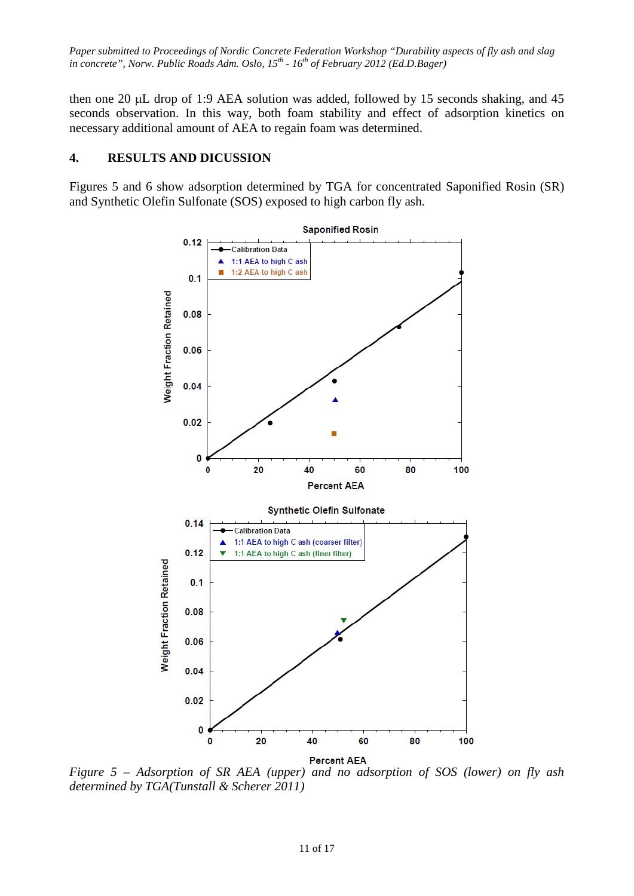then one 20 µL drop of 1:9 AEA solution was added, followed by 15 seconds shaking, and 45 seconds observation. In this way, both foam stability and effect of adsorption kinetics on necessary additional amount of AEA to regain foam was determined.

# **4. RESULTS AND DICUSSION**

Figures 5 and 6 show adsorption determined by TGA for concentrated Saponified Rosin (SR) and Synthetic Olefin Sulfonate (SOS) exposed to high carbon fly ash.



*Figure 5 – Adsorption of SR AEA (upper) and no adsorption of SOS (lower) on fly ash determined by TGA(Tunstall & Scherer 2011)*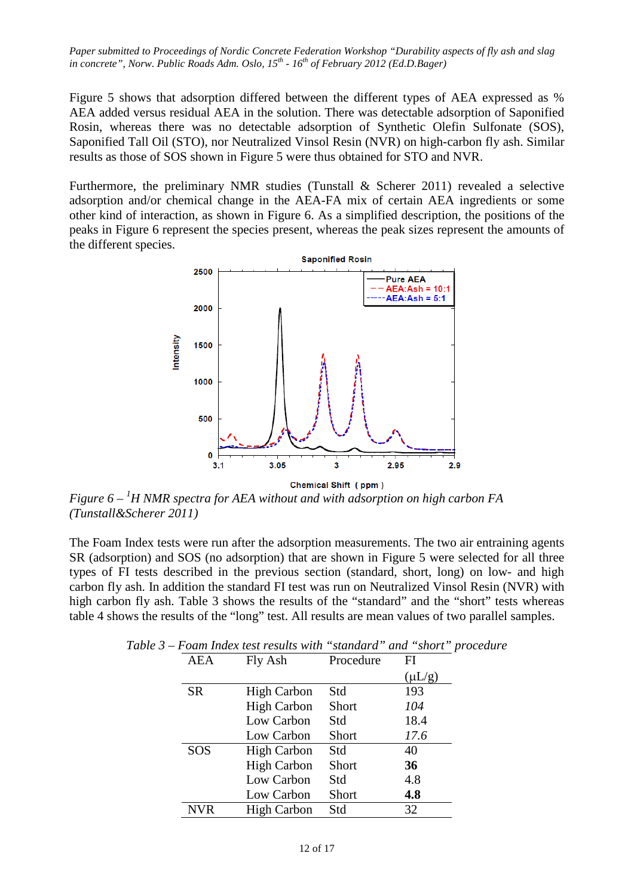Figure 5 shows that adsorption differed between the different types of AEA expressed as % AEA added versus residual AEA in the solution. There was detectable adsorption of Saponified Rosin, whereas there was no detectable adsorption of Synthetic Olefin Sulfonate (SOS), Saponified Tall Oil (STO), nor Neutralized Vinsol Resin (NVR) on high-carbon fly ash. Similar results as those of SOS shown in Figure 5 were thus obtained for STO and NVR.

Furthermore, the preliminary NMR studies (Tunstall & Scherer 2011) revealed a selective adsorption and/or chemical change in the AEA-FA mix of certain AEA ingredients or some other kind of interaction, as shown in Figure 6. As a simplified description, the positions of the peaks in Figure 6 represent the species present, whereas the peak sizes represent the amounts of the different species.



*Figure 6 – <sup>1</sup> H NMR spectra for AEA without and with adsorption on high carbon FA (Tunstall&Scherer 2011)*

The Foam Index tests were run after the adsorption measurements. The two air entraining agents SR (adsorption) and SOS (no adsorption) that are shown in Figure 5 were selected for all three types of FI tests described in the previous section (standard, short, long) on low- and high carbon fly ash. In addition the standard FI test was run on Neutralized Vinsol Resin (NVR) with high carbon fly ash. Table 3 shows the results of the "standard" and the "short" tests whereas table 4 shows the results of the "long" test. All results are mean values of two parallel samples.

| <b>AEA</b> | Fly Ash            | Procedure    | FI          |
|------------|--------------------|--------------|-------------|
|            |                    |              | $(\mu L/g)$ |
| <b>SR</b>  | <b>High Carbon</b> | Std          | 193         |
|            | <b>High Carbon</b> | Short        | 104         |
|            | Low Carbon         | Std          | 18.4        |
|            | Low Carbon         | <b>Short</b> | 17.6        |
| <b>SOS</b> | <b>High Carbon</b> | Std          | 40          |
|            | <b>High Carbon</b> | Short        | 36          |
|            | Low Carbon         | Std          | 4.8         |
|            | Low Carbon         | Short        | 4.8         |
| <b>NVR</b> | <b>High Carbon</b> | Std          | 32          |

*Table 3 – Foam Index test results with "standard" and "short" procedure*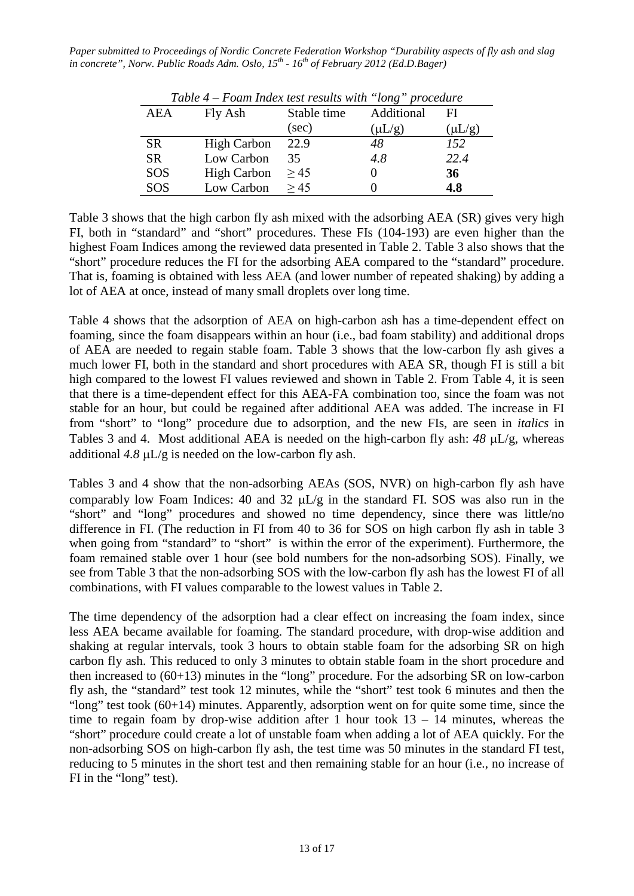|            |                    | 1 able 4 – Foam Index test results with long proceaure |             |             |
|------------|--------------------|--------------------------------------------------------|-------------|-------------|
| AEA        | Fly Ash            | Stable time                                            | Additional  | FI          |
|            |                    | (sec)                                                  | $(\mu L/g)$ | $(\mu L/g)$ |
| <b>SR</b>  | <b>High Carbon</b> | 22.9                                                   | 48          | 152         |
| <b>SR</b>  | Low Carbon         | 35                                                     | 4.8         | 22.4        |
| <b>SOS</b> | <b>High Carbon</b> | > 45                                                   |             | 36          |
| <b>SOS</b> | Low Carbon         | > 45                                                   |             | 4.8         |

*Table 4 – Foam Index test results with "long" procedure*

Table 3 shows that the high carbon fly ash mixed with the adsorbing AEA (SR) gives very high FI, both in "standard" and "short" procedures. These FIs (104-193) are even higher than the highest Foam Indices among the reviewed data presented in Table 2. Table 3 also shows that the "short" procedure reduces the FI for the adsorbing AEA compared to the "standard" procedure. That is, foaming is obtained with less AEA (and lower number of repeated shaking) by adding a lot of AEA at once, instead of many small droplets over long time.

Table 4 shows that the adsorption of AEA on high-carbon ash has a time-dependent effect on foaming, since the foam disappears within an hour (i.e., bad foam stability) and additional drops of AEA are needed to regain stable foam. Table 3 shows that the low-carbon fly ash gives a much lower FI, both in the standard and short procedures with AEA SR, though FI is still a bit high compared to the lowest FI values reviewed and shown in Table 2. From Table 4, it is seen that there is a time-dependent effect for this AEA-FA combination too, since the foam was not stable for an hour, but could be regained after additional AEA was added. The increase in FI from "short" to "long" procedure due to adsorption, and the new FIs, are seen in *italics* in Tables 3 and 4. Most additional AEA is needed on the high-carbon fly ash: *48* µL/g, whereas additional  $4.8 \mu L/g$  is needed on the low-carbon fly ash.

Tables 3 and 4 show that the non-adsorbing AEAs (SOS, NVR) on high-carbon fly ash have comparably low Foam Indices: 40 and 32  $\mu$ L/g in the standard FI. SOS was also run in the "short" and "long" procedures and showed no time dependency, since there was little/no difference in FI. (The reduction in FI from 40 to 36 for SOS on high carbon fly ash in table 3 when going from "standard" to "short" is within the error of the experiment). Furthermore, the foam remained stable over 1 hour (see bold numbers for the non-adsorbing SOS). Finally, we see from Table 3 that the non-adsorbing SOS with the low-carbon fly ash has the lowest FI of all combinations, with FI values comparable to the lowest values in Table 2.

The time dependency of the adsorption had a clear effect on increasing the foam index, since less AEA became available for foaming. The standard procedure, with drop-wise addition and shaking at regular intervals, took 3 hours to obtain stable foam for the adsorbing SR on high carbon fly ash. This reduced to only 3 minutes to obtain stable foam in the short procedure and then increased to (60+13) minutes in the "long" procedure. For the adsorbing SR on low-carbon fly ash, the "standard" test took 12 minutes, while the "short" test took 6 minutes and then the "long" test took  $(60+14)$  minutes. Apparently, adsorption went on for quite some time, since the time to regain foam by drop-wise addition after 1 hour took  $13 - 14$  minutes, whereas the "short" procedure could create a lot of unstable foam when adding a lot of AEA quickly. For the non-adsorbing SOS on high-carbon fly ash, the test time was 50 minutes in the standard FI test, reducing to 5 minutes in the short test and then remaining stable for an hour (i.e., no increase of FI in the "long" test).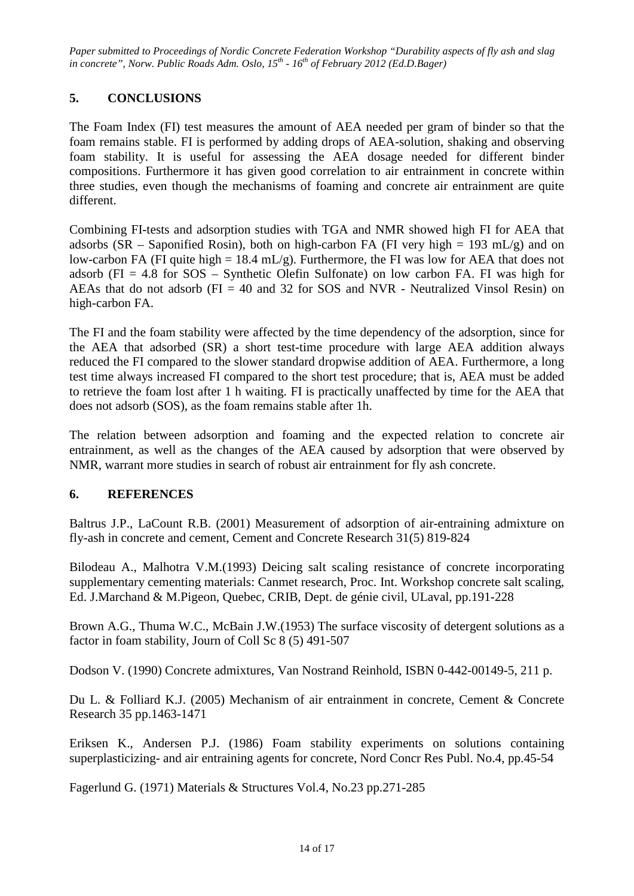# **5. CONCLUSIONS**

The Foam Index (FI) test measures the amount of AEA needed per gram of binder so that the foam remains stable. FI is performed by adding drops of AEA-solution, shaking and observing foam stability. It is useful for assessing the AEA dosage needed for different binder compositions. Furthermore it has given good correlation to air entrainment in concrete within three studies, even though the mechanisms of foaming and concrete air entrainment are quite different.

Combining FI-tests and adsorption studies with TGA and NMR showed high FI for AEA that adsorbs (SR – Saponified Rosin), both on high-carbon FA (FI very high = 193 mL/g) and on low-carbon FA (FI quite high = 18.4 mL/g). Furthermore, the FI was low for AEA that does not adsorb ( $FI = 4.8$  for  $SOS - Synthetic$  Olefin Sulfonate) on low carbon FA. FI was high for AEAs that do not adsorb ( $FI = 40$  and 32 for SOS and NVR - Neutralized Vinsol Resin) on high-carbon FA.

The FI and the foam stability were affected by the time dependency of the adsorption, since for the AEA that adsorbed (SR) a short test-time procedure with large AEA addition always reduced the FI compared to the slower standard dropwise addition of AEA. Furthermore, a long test time always increased FI compared to the short test procedure; that is, AEA must be added to retrieve the foam lost after 1 h waiting. FI is practically unaffected by time for the AEA that does not adsorb (SOS), as the foam remains stable after 1h.

The relation between adsorption and foaming and the expected relation to concrete air entrainment, as well as the changes of the AEA caused by adsorption that were observed by NMR, warrant more studies in search of robust air entrainment for fly ash concrete.

# **6. REFERENCES**

Baltrus J.P., LaCount R.B. (2001) Measurement of adsorption of air-entraining admixture on fly-ash in concrete and cement, Cement and Concrete Research 31(5) 819-824

Bilodeau A., Malhotra V.M.(1993) Deicing salt scaling resistance of concrete incorporating supplementary cementing materials: Canmet research, Proc. Int. Workshop concrete salt scaling, Ed. J.Marchand & M.Pigeon, Quebec, CRIB, Dept. de génie civil, ULaval, pp.191-228

Brown A.G., Thuma W.C., McBain J.W.(1953) The surface viscosity of detergent solutions as a factor in foam stability, Journ of Coll Sc 8 (5) 491-507

Dodson V. (1990) Concrete admixtures, Van Nostrand Reinhold, ISBN 0-442-00149-5, 211 p.

Du L. & Folliard K.J. (2005) Mechanism of air entrainment in concrete, Cement & Concrete Research 35 pp.1463-1471

Eriksen K., Andersen P.J. (1986) Foam stability experiments on solutions containing superplasticizing- and air entraining agents for concrete, Nord Concr Res Publ. No.4, pp.45-54

Fagerlund G. (1971) Materials & Structures Vol.4, No.23 pp.271-285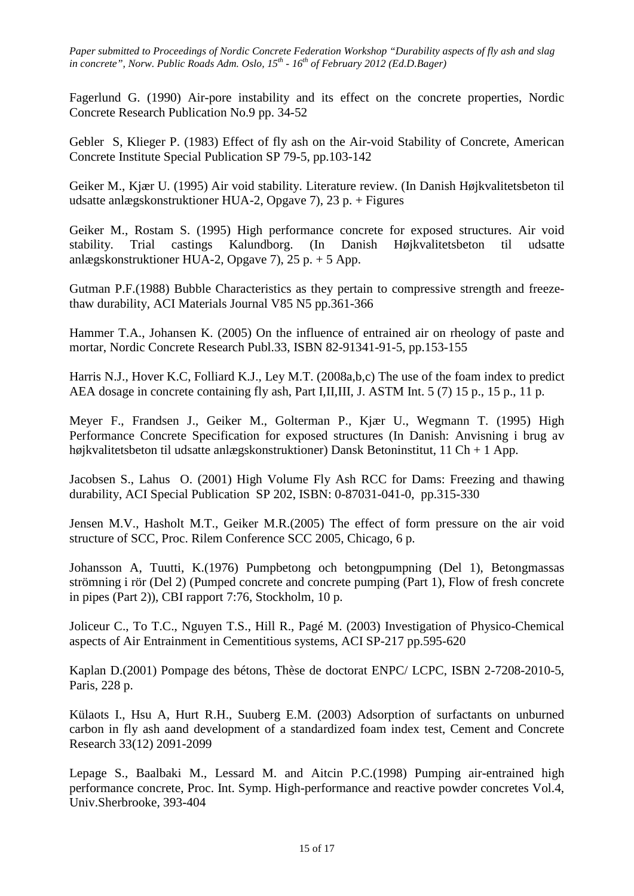Fagerlund G. (1990) Air-pore instability and its effect on the concrete properties, Nordic Concrete Research Publication No.9 pp. 34-52

Gebler S, Klieger P. (1983) Effect of fly ash on the Air-void Stability of Concrete, American Concrete Institute Special Publication SP 79-5, pp.103-142

Geiker M., Kjær U. (1995) Air void stability. Literature review. (In Danish Højkvalitetsbeton til udsatte anlægskonstruktioner HUA-2, Opgave 7), 23 p. + Figures

Geiker M., Rostam S. (1995) High performance concrete for exposed structures. Air void stability. Trial castings Kalundborg. (In Danish Højkvalitetsbeton til udsatte anlægskonstruktioner HUA-2, Opgave 7), 25 p. + 5 App.

Gutman P.F.(1988) Bubble Characteristics as they pertain to compressive strength and freezethaw durability, ACI Materials Journal V85 N5 pp.361-366

Hammer T.A., Johansen K. (2005) On the influence of entrained air on rheology of paste and mortar, Nordic Concrete Research Publ.33, ISBN 82-91341-91-5, pp.153-155

Harris N.J., Hover K.C, Folliard K.J., Ley M.T. (2008a,b,c) The use of the foam index to predict AEA dosage in concrete containing fly ash, Part I,II,III, J. ASTM Int. 5 (7) 15 p., 15 p., 11 p.

Meyer F., Frandsen J., Geiker M., Golterman P., Kjær U., Wegmann T. (1995) High Performance Concrete Specification for exposed structures (In Danish: Anvisning i brug av højkvalitetsbeton til udsatte anlægskonstruktioner) Dansk Betoninstitut, 11 Ch + 1 App.

Jacobsen S., Lahus O. (2001) High Volume Fly Ash RCC for Dams: Freezing and thawing durability, ACI Special Publication SP 202, ISBN: 0-87031-041-0, pp.315-330

Jensen M.V., Hasholt M.T., Geiker M.R.(2005) The effect of form pressure on the air void structure of SCC, Proc. Rilem Conference SCC 2005, Chicago, 6 p.

Johansson A, Tuutti, K.(1976) Pumpbetong och betongpumpning (Del 1), Betongmassas strömning i rör (Del 2) (Pumped concrete and concrete pumping (Part 1), Flow of fresh concrete in pipes (Part 2)), CBI rapport 7:76, Stockholm, 10 p.

Joliceur C., To T.C., Nguyen T.S., Hill R., Pagé M. (2003) Investigation of Physico-Chemical aspects of Air Entrainment in Cementitious systems, ACI SP-217 pp.595-620

Kaplan D.(2001) Pompage des bétons, Thèse de doctorat ENPC/ LCPC, ISBN 2-7208-2010-5, Paris, 228 p.

Külaots I., Hsu A, Hurt R.H., Suuberg E.M. (2003) Adsorption of surfactants on unburned carbon in fly ash aand development of a standardized foam index test, Cement and Concrete Research 33(12) 2091-2099

Lepage S., Baalbaki M., Lessard M. and Aitcin P.C.(1998) Pumping air-entrained high performance concrete, Proc. Int. Symp. High-performance and reactive powder concretes Vol.4, Univ.Sherbrooke, 393-404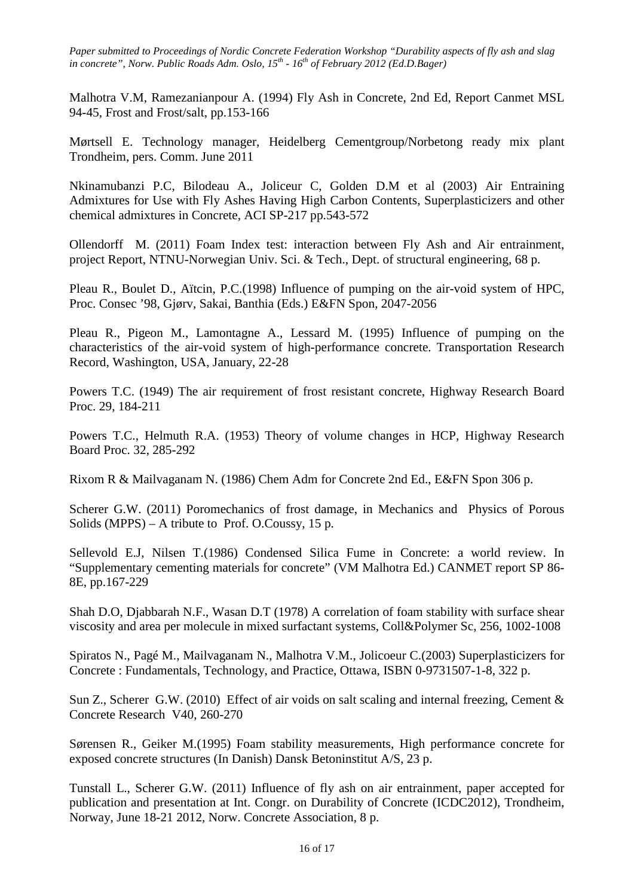Malhotra V.M, Ramezanianpour A. (1994) Fly Ash in Concrete, 2nd Ed, Report Canmet MSL 94-45, Frost and Frost/salt, pp.153-166

Mørtsell E. Technology manager, Heidelberg Cementgroup/Norbetong ready mix plant Trondheim, pers. Comm. June 2011

Nkinamubanzi P.C, Bilodeau A., Joliceur C, Golden D.M et al (2003) Air Entraining Admixtures for Use with Fly Ashes Having High Carbon Contents, Superplasticizers and other chemical admixtures in Concrete, ACI SP-217 pp.543-572

Ollendorff M. (2011) Foam Index test: interaction between Fly Ash and Air entrainment, project Report, NTNU-Norwegian Univ. Sci. & Tech., Dept. of structural engineering, 68 p.

Pleau R., Boulet D., Aïtcin, P.C.(1998) Influence of pumping on the air-void system of HPC, Proc. Consec '98, Gjørv, Sakai, Banthia (Eds.) E&FN Spon, 2047-2056

Pleau R., Pigeon M., Lamontagne A., Lessard M. (1995) Influence of pumping on the characteristics of the air-void system of high-performance concrete. Transportation Research Record, Washington, USA, January, 22-28

Powers T.C. (1949) The air requirement of frost resistant concrete, Highway Research Board Proc. 29, 184-211

Powers T.C., Helmuth R.A. (1953) Theory of volume changes in HCP, Highway Research Board Proc. 32, 285-292

Rixom R & Mailvaganam N. (1986) Chem Adm for Concrete 2nd Ed., E&FN Spon 306 p.

Scherer G.W. (2011) Poromechanics of frost damage, in Mechanics and Physics of Porous Solids (MPPS) – A tribute to Prof. O.Coussy, 15 p.

Sellevold E.J, Nilsen T.(1986) Condensed Silica Fume in Concrete: a world review. In "Supplementary cementing materials for concrete" (VM Malhotra Ed.) CANMET report SP 86- 8E, pp.167-229

Shah D.O, Djabbarah N.F., Wasan D.T (1978) A correlation of foam stability with surface shear viscosity and area per molecule in mixed surfactant systems, Coll&Polymer Sc, 256, 1002-1008

Spiratos N., Pagé M., Mailvaganam N., Malhotra V.M., Jolicoeur C.(2003) Superplasticizers for Concrete : Fundamentals, Technology, and Practice, Ottawa, ISBN 0-9731507-1-8, 322 p.

Sun Z., Scherer G.W. (2010) Effect of air voids on salt scaling and internal freezing, Cement & Concrete Research V40, 260-270

Sørensen R., Geiker M.(1995) Foam stability measurements, High performance concrete for exposed concrete structures (In Danish) Dansk Betoninstitut A/S, 23 p.

Tunstall L., Scherer G.W. (2011) Influence of fly ash on air entrainment, paper accepted for publication and presentation at Int. Congr. on Durability of Concrete (ICDC2012), Trondheim, Norway, June 18-21 2012, Norw. Concrete Association, 8 p.